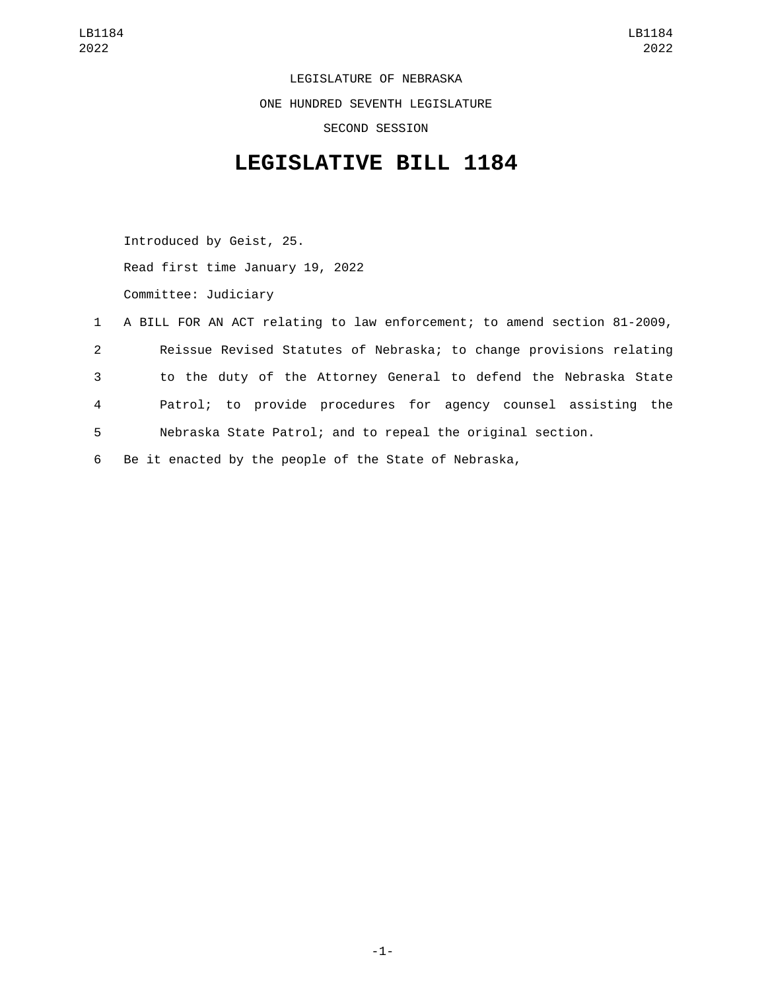LEGISLATURE OF NEBRASKA ONE HUNDRED SEVENTH LEGISLATURE SECOND SESSION

## **LEGISLATIVE BILL 1184**

Introduced by Geist, 25. Read first time January 19, 2022 Committee: Judiciary

|              | 1 A BILL FOR AN ACT relating to law enforcement; to amend section 81-2009, |
|--------------|----------------------------------------------------------------------------|
| $\mathbf{2}$ | Reissue Revised Statutes of Nebraska; to change provisions relating        |
| 3            | to the duty of the Attorney General to defend the Nebraska State           |
| 4            | Patrol; to provide procedures for agency counsel assisting the             |
| 5            | Nebraska State Patrol; and to repeal the original section.                 |

6 Be it enacted by the people of the State of Nebraska,